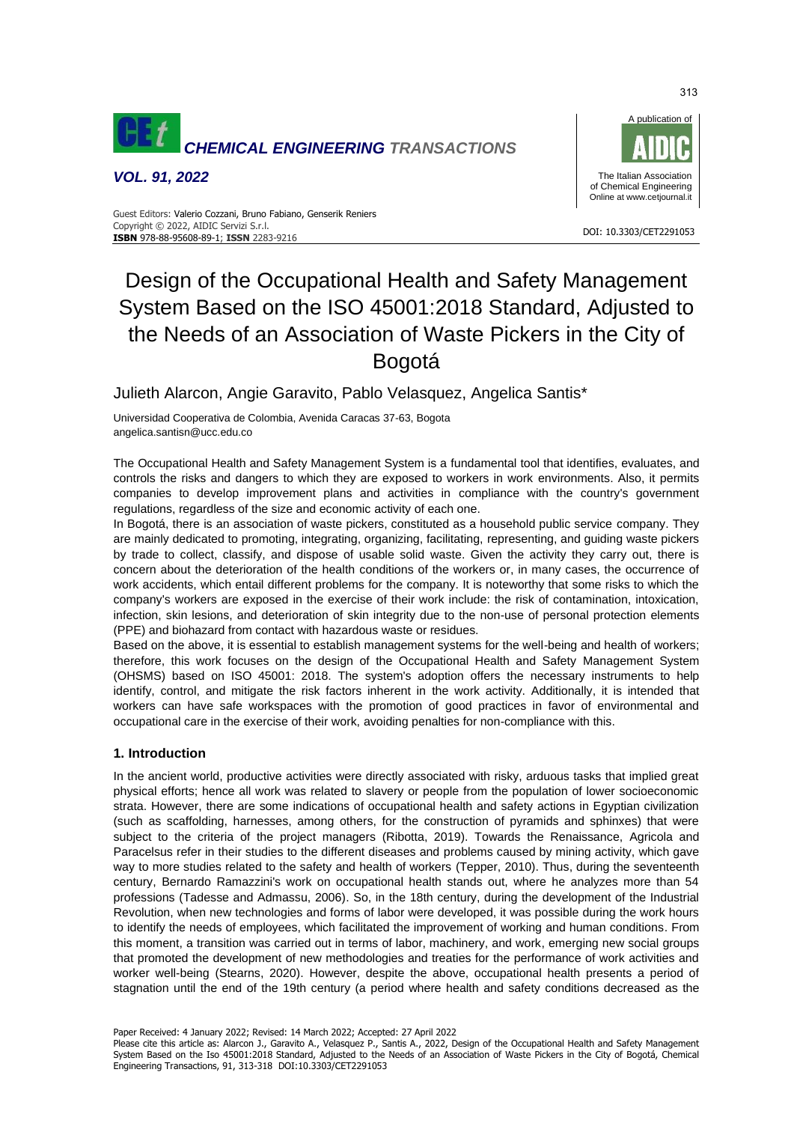

*VOL. 91, 2022*



#### DOI: 10.3303/CET2291053 **ISBN** 978-88-95608-89-1; **ISSN** 2283-9216 Guest Editors: Valerio Cozzani, Bruno Fabiano, Genserik Reniers Copyright © 2022, AIDIC Servizi S.r.l.

# Design of the Occupational Health and Safety Management System Based on the ISO 45001:2018 Standard, Adjusted to the Needs of an Association of Waste Pickers in the City of Bogotá

Julieth Alarcon, Angie Garavito, Pablo Velasquez, Angelica Santis\*

Universidad Cooperativa de Colombia, Avenida Caracas 37-63, Bogota angelica.santisn@ucc.edu.co

The Occupational Health and Safety Management System is a fundamental tool that identifies, evaluates, and controls the risks and dangers to which they are exposed to workers in work environments. Also, it permits companies to develop improvement plans and activities in compliance with the country's government regulations, regardless of the size and economic activity of each one.

In Bogotá, there is an association of waste pickers, constituted as a household public service company. They are mainly dedicated to promoting, integrating, organizing, facilitating, representing, and guiding waste pickers by trade to collect, classify, and dispose of usable solid waste. Given the activity they carry out, there is concern about the deterioration of the health conditions of the workers or, in many cases, the occurrence of work accidents, which entail different problems for the company. It is noteworthy that some risks to which the company's workers are exposed in the exercise of their work include: the risk of contamination, intoxication, infection, skin lesions, and deterioration of skin integrity due to the non-use of personal protection elements (PPE) and biohazard from contact with hazardous waste or residues.

Based on the above, it is essential to establish management systems for the well-being and health of workers; therefore, this work focuses on the design of the Occupational Health and Safety Management System (OHSMS) based on ISO 45001: 2018. The system's adoption offers the necessary instruments to help identify, control, and mitigate the risk factors inherent in the work activity. Additionally, it is intended that workers can have safe workspaces with the promotion of good practices in favor of environmental and occupational care in the exercise of their work, avoiding penalties for non-compliance with this.

## **1. Introduction**

In the ancient world, productive activities were directly associated with risky, arduous tasks that implied great physical efforts; hence all work was related to slavery or people from the population of lower socioeconomic strata. However, there are some indications of occupational health and safety actions in Egyptian civilization (such as scaffolding, harnesses, among others, for the construction of pyramids and sphinxes) that were subject to the criteria of the project managers (Ribotta, 2019). Towards the Renaissance, Agricola and Paracelsus refer in their studies to the different diseases and problems caused by mining activity, which gave way to more studies related to the safety and health of workers (Tepper, 2010). Thus, during the seventeenth century, Bernardo Ramazzini's work on occupational health stands out, where he analyzes more than 54 professions (Tadesse and Admassu, 2006). So, in the 18th century, during the development of the Industrial Revolution, when new technologies and forms of labor were developed, it was possible during the work hours to identify the needs of employees, which facilitated the improvement of working and human conditions. From this moment, a transition was carried out in terms of labor, machinery, and work, emerging new social groups that promoted the development of new methodologies and treaties for the performance of work activities and worker well-being (Stearns, 2020). However, despite the above, occupational health presents a period of stagnation until the end of the 19th century (a period where health and safety conditions decreased as the

Paper Received: 4 January 2022; Revised: 14 March 2022; Accepted: 27 April 2022

Please cite this article as: Alarcon J., Garavito A., Velasquez P., Santis A., 2022, Design of the Occupational Health and Safety Management System Based on the Iso 45001:2018 Standard, Adjusted to the Needs of an Association of Waste Pickers in the City of Bogotá, Chemical Engineering Transactions, 91, 313-318 DOI:10.3303/CET2291053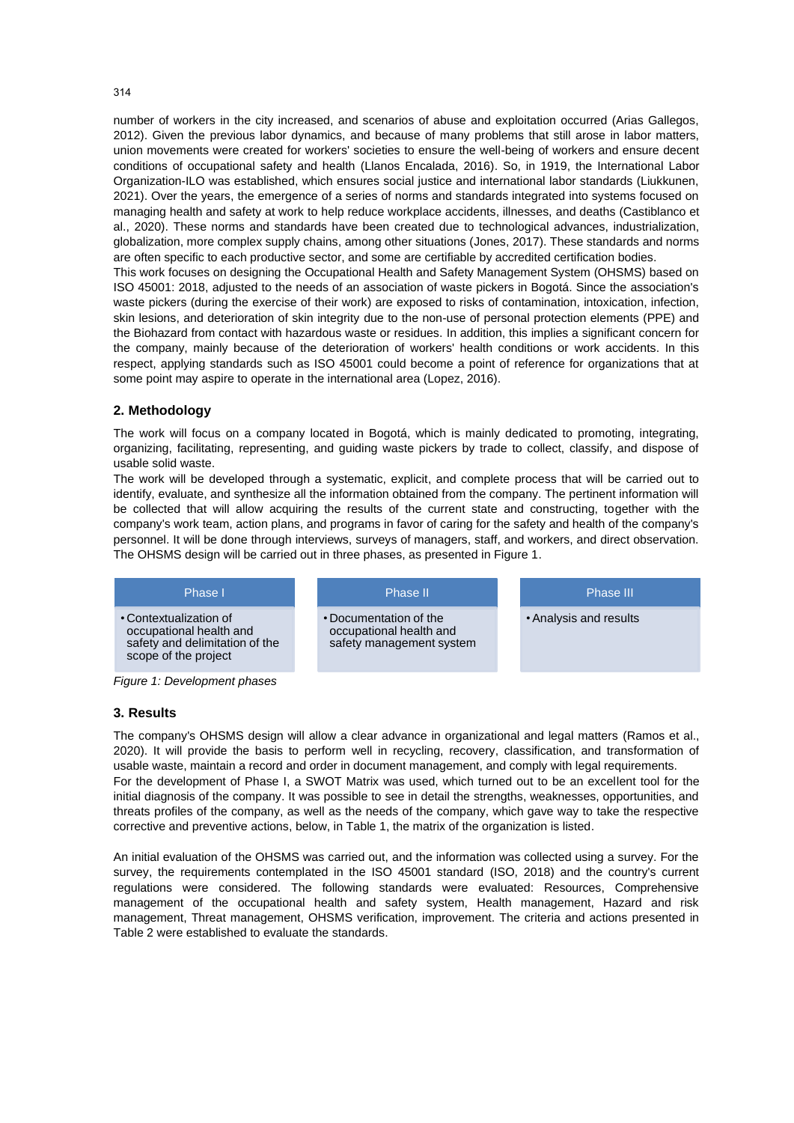number of workers in the city increased, and scenarios of abuse and exploitation occurred (Arias Gallegos, 2012). Given the previous labor dynamics, and because of many problems that still arose in labor matters, union movements were created for workers' societies to ensure the well-being of workers and ensure decent conditions of occupational safety and health (Llanos Encalada, 2016). So, in 1919, the International Labor Organization-ILO was established, which ensures social justice and international labor standards (Liukkunen, 2021). Over the years, the emergence of a series of norms and standards integrated into systems focused on managing health and safety at work to help reduce workplace accidents, illnesses, and deaths (Castiblanco et al., 2020). These norms and standards have been created due to technological advances, industrialization, globalization, more complex supply chains, among other situations (Jones, 2017). These standards and norms are often specific to each productive sector, and some are certifiable by accredited certification bodies.

This work focuses on designing the Occupational Health and Safety Management System (OHSMS) based on ISO 45001: 2018, adjusted to the needs of an association of waste pickers in Bogotá. Since the association's waste pickers (during the exercise of their work) are exposed to risks of contamination, intoxication, infection, skin lesions, and deterioration of skin integrity due to the non-use of personal protection elements (PPE) and the Biohazard from contact with hazardous waste or residues. In addition, this implies a significant concern for the company, mainly because of the deterioration of workers' health conditions or work accidents. In this respect, applying standards such as ISO 45001 could become a point of reference for organizations that at some point may aspire to operate in the international area (Lopez, 2016).

# **2. Methodology**

The work will focus on a company located in Bogotá, which is mainly dedicated to promoting, integrating, organizing, facilitating, representing, and guiding waste pickers by trade to collect, classify, and dispose of usable solid waste.

The work will be developed through a systematic, explicit, and complete process that will be carried out to identify, evaluate, and synthesize all the information obtained from the company. The pertinent information will be collected that will allow acquiring the results of the current state and constructing, together with the company's work team, action plans, and programs in favor of caring for the safety and health of the company's personnel. It will be done through interviews, surveys of managers, staff, and workers, and direct observation. The OHSMS design will be carried out in three phases, as presented in Figure 1.



*Figure 1: Development phases*

## **3. Results**

The company's OHSMS design will allow a clear advance in organizational and legal matters (Ramos et al., 2020). It will provide the basis to perform well in recycling, recovery, classification, and transformation of usable waste, maintain a record and order in document management, and comply with legal requirements. For the development of Phase I, a SWOT Matrix was used, which turned out to be an excellent tool for the initial diagnosis of the company. It was possible to see in detail the strengths, weaknesses, opportunities, and threats profiles of the company, as well as the needs of the company, which gave way to take the respective corrective and preventive actions, below, in Table 1, the matrix of the organization is listed.

An initial evaluation of the OHSMS was carried out, and the information was collected using a survey. For the survey, the requirements contemplated in the ISO 45001 standard (ISO, 2018) and the country's current regulations were considered. The following standards were evaluated: Resources, Comprehensive management of the occupational health and safety system, Health management, Hazard and risk management, Threat management, OHSMS verification, improvement. The criteria and actions presented in Table 2 were established to evaluate the standards.

#### 314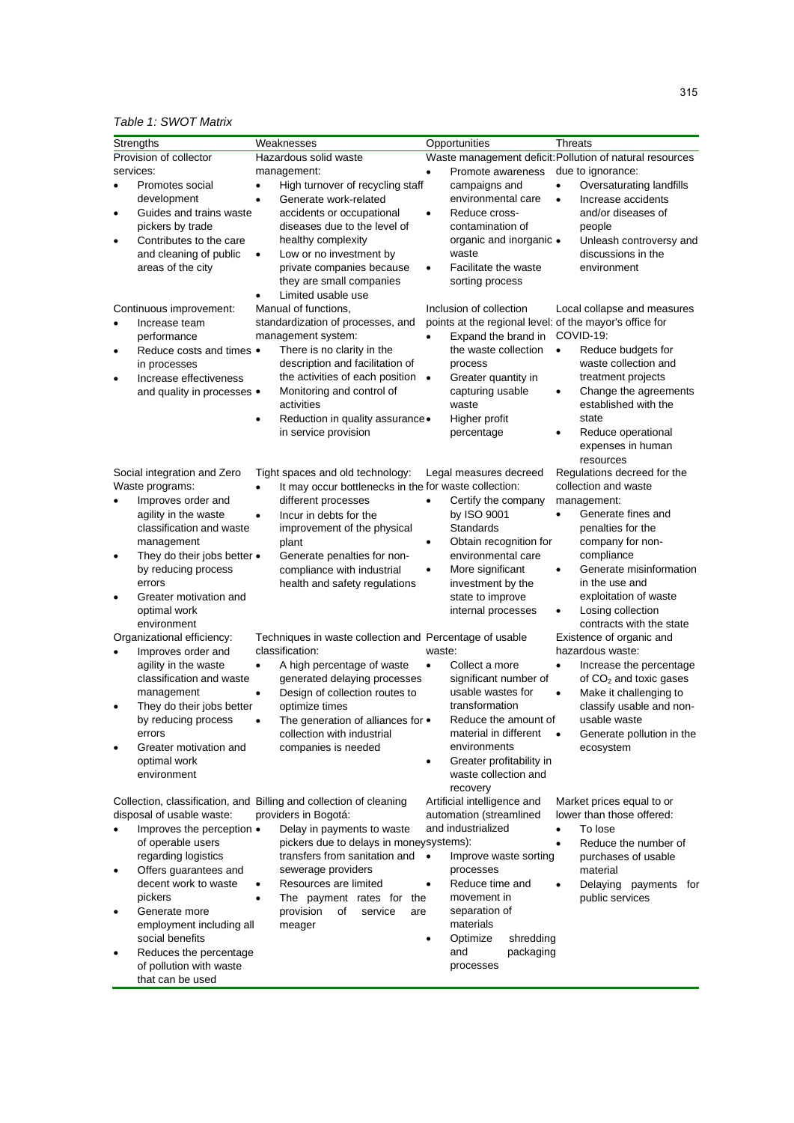# *Table 1: SWOT Matrix*

| Strengths                                                                                                                                                                                                                             | Weaknesses                                                                                                                                                                                                                                                                                                                            | Opportunities                                                                                                                                                                                                       | Threats                                                                                                                                                                                                                                                   |
|---------------------------------------------------------------------------------------------------------------------------------------------------------------------------------------------------------------------------------------|---------------------------------------------------------------------------------------------------------------------------------------------------------------------------------------------------------------------------------------------------------------------------------------------------------------------------------------|---------------------------------------------------------------------------------------------------------------------------------------------------------------------------------------------------------------------|-----------------------------------------------------------------------------------------------------------------------------------------------------------------------------------------------------------------------------------------------------------|
| Provision of collector<br>services:<br>Promotes social<br>$\bullet$<br>development<br>Guides and trains waste<br>$\bullet$<br>pickers by trade<br>Contributes to the care<br>$\bullet$<br>and cleaning of public<br>areas of the city | Hazardous solid waste<br>management:<br>High turnover of recycling staff<br>$\bullet$<br>Generate work-related<br>$\bullet$<br>accidents or occupational<br>diseases due to the level of<br>healthy complexity<br>Low or no investment by<br>$\bullet$<br>private companies because<br>they are small companies<br>Limited usable use | Promote awareness<br>$\bullet$<br>campaigns and<br>environmental care<br>Reduce cross-<br>$\bullet$<br>contamination of<br>organic and inorganic •<br>waste<br>Facilitate the waste<br>$\bullet$<br>sorting process | Waste management deficit: Pollution of natural resources<br>due to ignorance:<br>Oversaturating landfills<br>$\bullet$<br>Increase accidents<br>$\bullet$<br>and/or diseases of<br>people<br>Unleash controversy and<br>discussions in the<br>environment |
| Continuous improvement:<br>Increase team<br>٠                                                                                                                                                                                         | Manual of functions,<br>standardization of processes, and                                                                                                                                                                                                                                                                             | Inclusion of collection<br>points at the regional level: of the mayor's office for                                                                                                                                  | Local collapse and measures                                                                                                                                                                                                                               |
| performance<br>Reduce costs and times •<br>٠<br>in processes<br>Increase effectiveness                                                                                                                                                | management system:<br>There is no clarity in the<br>description and facilitation of<br>the activities of each position .                                                                                                                                                                                                              | Expand the brand in<br>the waste collection<br>process<br>Greater quantity in                                                                                                                                       | COVID-19:<br>Reduce budgets for<br>$\bullet$<br>waste collection and<br>treatment projects                                                                                                                                                                |
| $\bullet$<br>and quality in processes •                                                                                                                                                                                               | Monitoring and control of<br>activities<br>Reduction in quality assurance .<br>٠                                                                                                                                                                                                                                                      | capturing usable<br>waste<br>Higher profit                                                                                                                                                                          | Change the agreements<br>٠<br>established with the<br>state                                                                                                                                                                                               |
|                                                                                                                                                                                                                                       | in service provision                                                                                                                                                                                                                                                                                                                  | percentage                                                                                                                                                                                                          | Reduce operational<br>٠<br>expenses in human                                                                                                                                                                                                              |
| Social integration and Zero<br>Waste programs:<br>Improves order and<br>$\bullet$                                                                                                                                                     | Tight spaces and old technology:<br>It may occur bottlenecks in the for waste collection:<br>$\bullet$<br>different processes                                                                                                                                                                                                         | Legal measures decreed<br>Certify the company<br>$\bullet$                                                                                                                                                          | resources<br>Regulations decreed for the<br>collection and waste<br>management:                                                                                                                                                                           |
| agility in the waste<br>classification and waste<br>management                                                                                                                                                                        | Incur in debts for the<br>$\bullet$<br>improvement of the physical<br>plant                                                                                                                                                                                                                                                           | by ISO 9001<br>Standards<br>Obtain recognition for<br>$\bullet$                                                                                                                                                     | Generate fines and<br>$\bullet$<br>penalties for the<br>company for non-                                                                                                                                                                                  |
| They do their jobs better •<br>$\bullet$<br>by reducing process<br>errors                                                                                                                                                             | Generate penalties for non-<br>compliance with industrial<br>health and safety regulations                                                                                                                                                                                                                                            | environmental care<br>More significant<br>$\bullet$<br>investment by the                                                                                                                                            | compliance<br>Generate misinformation<br>٠<br>in the use and                                                                                                                                                                                              |
| Greater motivation and<br>$\bullet$<br>optimal work<br>environment                                                                                                                                                                    |                                                                                                                                                                                                                                                                                                                                       | state to improve<br>internal processes                                                                                                                                                                              | exploitation of waste<br>Losing collection<br>٠<br>contracts with the state                                                                                                                                                                               |
| Organizational efficiency:                                                                                                                                                                                                            | Techniques in waste collection and Percentage of usable                                                                                                                                                                                                                                                                               |                                                                                                                                                                                                                     | Existence of organic and                                                                                                                                                                                                                                  |
| Improves order and<br>$\bullet$<br>agility in the waste<br>classification and waste<br>management                                                                                                                                     | classification:<br>A high percentage of waste<br>$\bullet$<br>generated delaying processes<br>Design of collection routes to<br>$\bullet$                                                                                                                                                                                             | waste:<br>Collect a more<br>$\bullet$<br>significant number of<br>usable wastes for                                                                                                                                 | hazardous waste:<br>Increase the percentage<br>$\bullet$<br>of $CO2$ and toxic gases<br>$\bullet$<br>Make it challenging to                                                                                                                               |
| They do their jobs better<br>$\bullet$<br>by reducing process                                                                                                                                                                         | optimize times<br>The generation of alliances for •<br>$\bullet$                                                                                                                                                                                                                                                                      | transformation<br>Reduce the amount of                                                                                                                                                                              | classify usable and non-<br>usable waste                                                                                                                                                                                                                  |
| errors<br>Greater motivation and<br>$\bullet$<br>optimal work<br>environment                                                                                                                                                          | collection with industrial<br>companies is needed                                                                                                                                                                                                                                                                                     | material in different<br>environments<br>Greater profitability in<br>waste collection and                                                                                                                           | Generate pollution in the<br>ecosystem                                                                                                                                                                                                                    |
| disposal of usable waste:                                                                                                                                                                                                             | Collection, classification, and Billing and collection of cleaning<br>providers in Bogotá:                                                                                                                                                                                                                                            | recovery<br>Artificial intelligence and<br>automation (streamlined                                                                                                                                                  | Market prices equal to or<br>lower than those offered:                                                                                                                                                                                                    |
| Improves the perception •<br>$\bullet$<br>of operable users<br>regarding logistics                                                                                                                                                    | Delay in payments to waste<br>pickers due to delays in moneysystems):<br>transfers from sanitation and •                                                                                                                                                                                                                              | and industrialized<br>Improve waste sorting                                                                                                                                                                         | To lose<br>$\bullet$<br>Reduce the number of<br>$\bullet$<br>purchases of usable                                                                                                                                                                          |
| Offers guarantees and<br>$\bullet$<br>decent work to waste<br>pickers                                                                                                                                                                 | sewerage providers<br>Resources are limited<br>$\bullet$<br>The payment rates for the<br>٠                                                                                                                                                                                                                                            | processes<br>Reduce time and<br>$\bullet$<br>movement in                                                                                                                                                            | material<br>Delaying payments for<br>$\bullet$<br>public services                                                                                                                                                                                         |
| Generate more<br>$\bullet$<br>employment including all<br>social benefits                                                                                                                                                             | provision<br>of<br>service<br>are<br>meager                                                                                                                                                                                                                                                                                           | separation of<br>materials<br>Optimize<br>shredding<br>$\bullet$                                                                                                                                                    |                                                                                                                                                                                                                                                           |
| Reduces the percentage<br>٠<br>of pollution with waste<br>that can be used                                                                                                                                                            |                                                                                                                                                                                                                                                                                                                                       | and<br>packaging<br>processes                                                                                                                                                                                       |                                                                                                                                                                                                                                                           |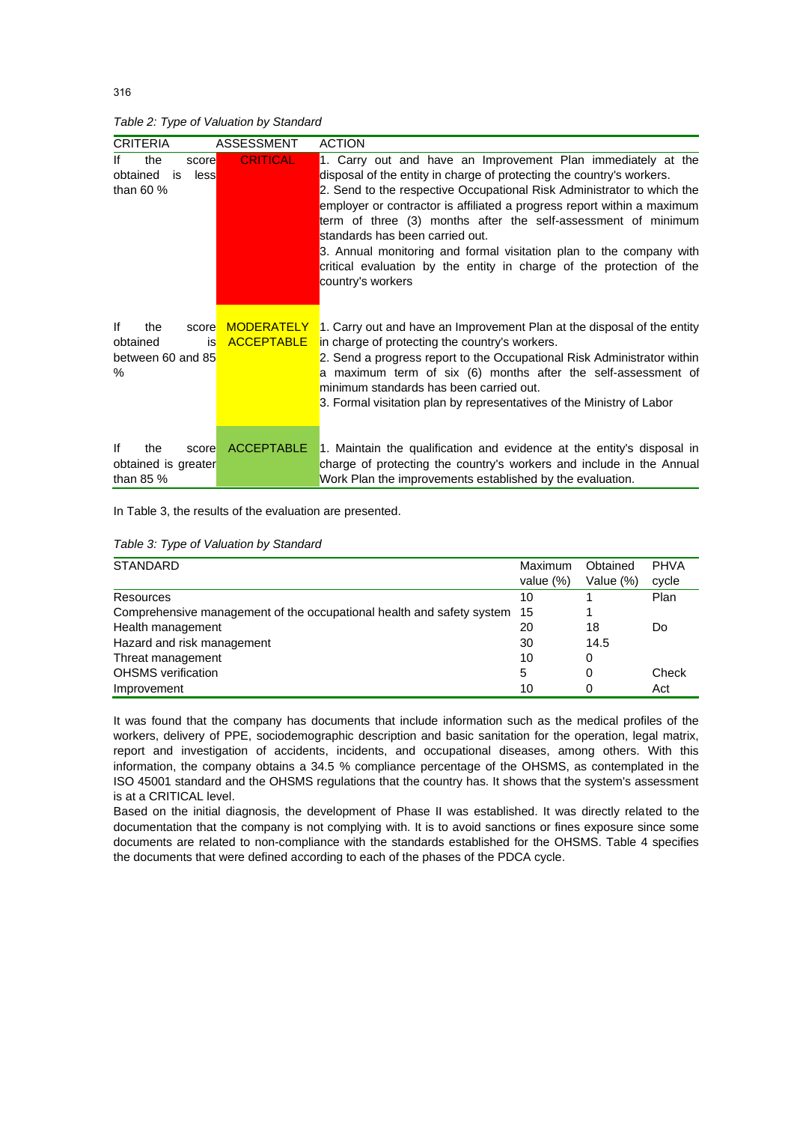*Table 2: Type of Valuation by Standard*

| <b>CRITERIA</b>                                                   | <b>ASSESSMENT</b>                      | <b>ACTION</b>                                                                                                                                                                                                                                                                                                                                                                                                                                                                                                                                                      |
|-------------------------------------------------------------------|----------------------------------------|--------------------------------------------------------------------------------------------------------------------------------------------------------------------------------------------------------------------------------------------------------------------------------------------------------------------------------------------------------------------------------------------------------------------------------------------------------------------------------------------------------------------------------------------------------------------|
| the<br>lf<br>score<br>obtained<br>less<br>is<br>than $60%$        | <b>CRITICAL</b>                        | 1. Carry out and have an Improvement Plan immediately at the<br>disposal of the entity in charge of protecting the country's workers.<br>2. Send to the respective Occupational Risk Administrator to which the<br>employer or contractor is affiliated a progress report within a maximum<br>term of three (3) months after the self-assessment of minimum<br>standards has been carried out.<br>3. Annual monitoring and formal visitation plan to the company with<br>critical evaluation by the entity in charge of the protection of the<br>country's workers |
| lf<br>the<br>score<br>obtained<br>is<br>between 60 and 85<br>$\%$ | <b>MODERATELY</b><br><b>ACCEPTABLE</b> | 1. Carry out and have an Improvement Plan at the disposal of the entity<br>in charge of protecting the country's workers.<br>2. Send a progress report to the Occupational Risk Administrator within<br>a maximum term of six (6) months after the self-assessment of<br>minimum standards has been carried out.<br>3. Formal visitation plan by representatives of the Ministry of Labor                                                                                                                                                                          |
| lf<br>the<br>score<br>obtained is greater<br>than $85%$           | <b>ACCEPTABLE</b>                      | 1. Maintain the qualification and evidence at the entity's disposal in<br>charge of protecting the country's workers and include in the Annual<br>Work Plan the improvements established by the evaluation.                                                                                                                                                                                                                                                                                                                                                        |

In Table 3, the results of the evaluation are presented.

| <b>STANDARD</b>                                                       | Maximum      | Obtained  | <b>PHVA</b> |
|-----------------------------------------------------------------------|--------------|-----------|-------------|
|                                                                       | value $(\%)$ | Value (%) | cycle       |
| Resources                                                             | 10           |           | Plan        |
| Comprehensive management of the occupational health and safety system | 15           |           |             |
| Health management                                                     | 20           | 18        | Do          |
| Hazard and risk management                                            | 30           | 14.5      |             |
| Threat management                                                     | 10           | 0         |             |
| <b>OHSMS</b> verification                                             | 5            | 0         | Check       |
| Improvement                                                           | 10           | 0         | Act         |

It was found that the company has documents that include information such as the medical profiles of the workers, delivery of PPE, sociodemographic description and basic sanitation for the operation, legal matrix, report and investigation of accidents, incidents, and occupational diseases, among others. With this information, the company obtains a 34.5 % compliance percentage of the OHSMS, as contemplated in the ISO 45001 standard and the OHSMS regulations that the country has. It shows that the system's assessment is at a CRITICAL level.

Based on the initial diagnosis, the development of Phase II was established. It was directly related to the documentation that the company is not complying with. It is to avoid sanctions or fines exposure since some documents are related to non-compliance with the standards established for the OHSMS. Table 4 specifies the documents that were defined according to each of the phases of the PDCA cycle.

316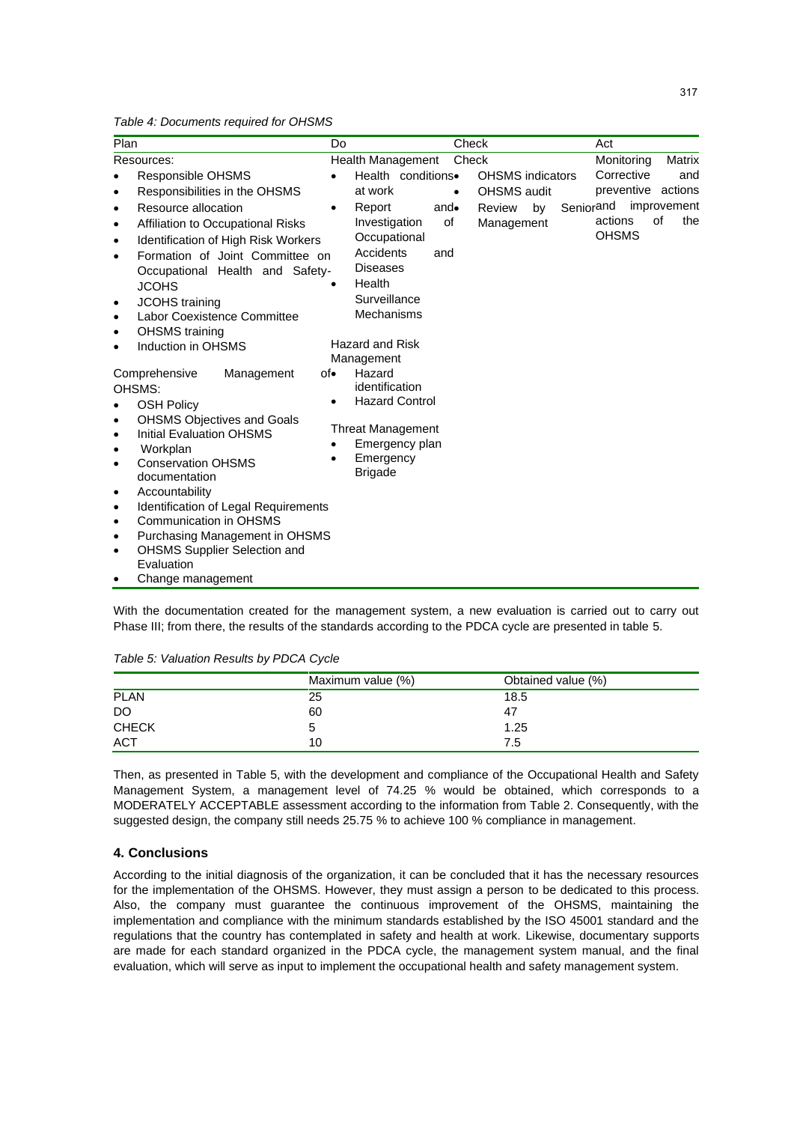*Table 4: Documents required for OHSMS*

| Plan                                                                                                                                                                                                                                                                                                                                                                                                        | Do                                                                                                                                                                                         | Check                                                                  |                                                                      | Act                                                                                          |                                            |
|-------------------------------------------------------------------------------------------------------------------------------------------------------------------------------------------------------------------------------------------------------------------------------------------------------------------------------------------------------------------------------------------------------------|--------------------------------------------------------------------------------------------------------------------------------------------------------------------------------------------|------------------------------------------------------------------------|----------------------------------------------------------------------|----------------------------------------------------------------------------------------------|--------------------------------------------|
| Resources:<br>Responsible OHSMS<br>$\bullet$<br>Responsibilities in the OHSMS<br>$\bullet$<br>Resource allocation<br>$\bullet$<br>Affiliation to Occupational Risks<br>$\bullet$<br>Identification of High Risk Workers<br>$\bullet$<br>Formation of Joint Committee on<br>$\bullet$<br>Occupational Health and Safety-<br><b>JCOHS</b>                                                                     | Health Management<br>at work<br>Report<br>Investigation<br>Occupational<br>Accidents<br><b>Diseases</b><br>Health                                                                          | Check<br>Health conditions.<br>$\bullet$<br>and $\bullet$<br>of<br>and | <b>OHSMS</b> indicators<br>OHSMS audit<br>Review<br>by<br>Management | Monitoring<br>Corrective<br>preventive actions<br>Seniorand<br>of<br>actions<br><b>OHSMS</b> | <b>Matrix</b><br>and<br>improvement<br>the |
| <b>JCOHS</b> training<br>$\bullet$<br>Labor Coexistence Committee<br>$\bullet$<br><b>OHSMS</b> training<br>$\bullet$<br>Induction in OHSMS<br>$\bullet$<br>Comprehensive<br>Management<br>OHSMS:<br><b>OSH Policy</b><br><b>OHSMS Objectives and Goals</b><br>$\bullet$<br><b>Initial Evaluation OHSMS</b><br>$\bullet$<br>Workplan<br>$\bullet$<br><b>Conservation OHSMS</b><br>$\bullet$<br>documentation | Surveillance<br>Mechanisms<br><b>Hazard and Risk</b><br>Management<br>Hazard<br>of∙<br>identification<br>$\bullet$<br><b>Threat Management</b><br>Emergency<br>$\bullet$<br><b>Brigade</b> | <b>Hazard Control</b><br>Emergency plan                                |                                                                      |                                                                                              |                                            |
| Accountability<br>$\bullet$<br>Identification of Legal Requirements<br>$\bullet$<br><b>Communication in OHSMS</b><br>$\bullet$<br>Purchasing Management in OHSMS<br>$\bullet$<br><b>OHSMS Supplier Selection and</b><br>٠<br>Evaluation<br>Change management                                                                                                                                                |                                                                                                                                                                                            |                                                                        |                                                                      |                                                                                              |                                            |

With the documentation created for the management system, a new evaluation is carried out to carry out Phase III; from there, the results of the standards according to the PDCA cycle are presented in table 5.

|              | Maximum value (%) | Obtained value (%) |  |
|--------------|-------------------|--------------------|--|
| <b>PLAN</b>  | 25                | 18.5               |  |
| DO           | 60                | 47                 |  |
| <b>CHECK</b> |                   | 1.25               |  |
| <b>ACT</b>   | 10                | 7.5                |  |

*Table 5: Valuation Results by PDCA Cycle*

Then, as presented in Table 5, with the development and compliance of the Occupational Health and Safety Management System, a management level of 74.25 % would be obtained, which corresponds to a MODERATELY ACCEPTABLE assessment according to the information from Table 2. Consequently, with the suggested design, the company still needs 25.75 % to achieve 100 % compliance in management.

# **4. Conclusions**

According to the initial diagnosis of the organization, it can be concluded that it has the necessary resources for the implementation of the OHSMS. However, they must assign a person to be dedicated to this process. Also, the company must guarantee the continuous improvement of the OHSMS, maintaining the implementation and compliance with the minimum standards established by the ISO 45001 standard and the regulations that the country has contemplated in safety and health at work. Likewise, documentary supports are made for each standard organized in the PDCA cycle, the management system manual, and the final evaluation, which will serve as input to implement the occupational health and safety management system.